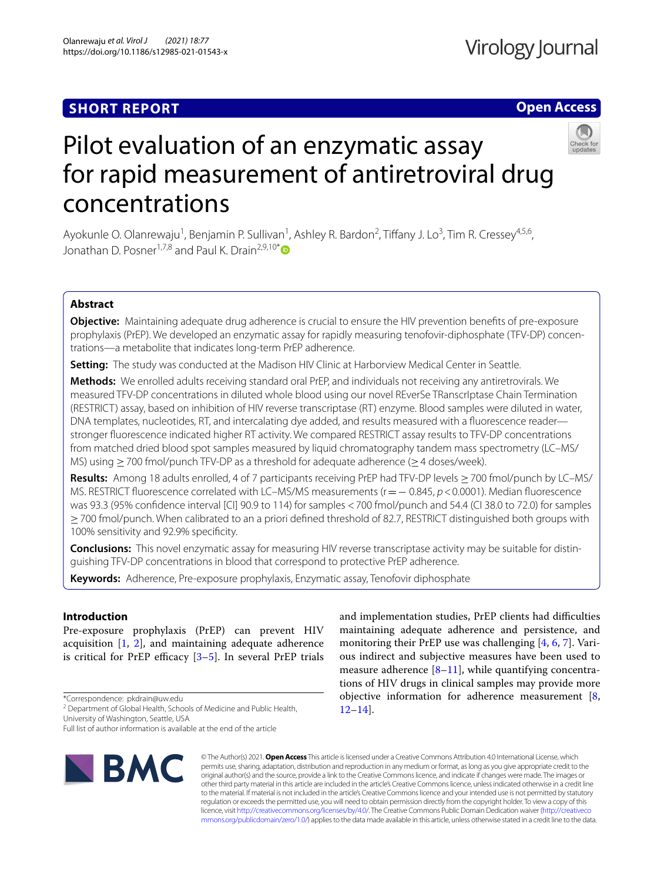# **SHORT REPORT**

# **Open Access**



# Pilot evaluation of an enzymatic assay for rapid measurement of antiretroviral drug concentrations

Ayokunle O. Olanrewaju<sup>1</sup>, Benjamin P. Sullivan<sup>1</sup>, Ashley R. Bardon<sup>2</sup>, Tiffany J. Lo<sup>3</sup>, Tim R. Cressey<sup>4,5,6</sup>, Jonathan D. Posner<sup>1,7,8</sup> and Paul K. Drain<sup>2,9,10[\\*](http://orcid.org/0000-0002-9569-4097)</sup>

# **Abstract**

**Objective:** Maintaining adequate drug adherence is crucial to ensure the HIV prevention benefts of pre-exposure prophylaxis (PrEP). We developed an enzymatic assay for rapidly measuring tenofovir-diphosphate (TFV-DP) concentrations—a metabolite that indicates long-term PrEP adherence.

**Setting:** The study was conducted at the Madison HIV Clinic at Harborview Medical Center in Seattle.

**Methods:** We enrolled adults receiving standard oral PrEP, and individuals not receiving any antiretrovirals. We measured TFV-DP concentrations in diluted whole blood using our novel REverSe TRanscrIptase Chain Termination (RESTRICT) assay, based on inhibition of HIV reverse transcriptase (RT) enzyme. Blood samples were diluted in water, DNA templates, nucleotides, RT, and intercalating dye added, and results measured with a fuorescence reader stronger fuorescence indicated higher RT activity. We compared RESTRICT assay results to TFV-DP concentrations from matched dried blood spot samples measured by liquid chromatography tandem mass spectrometry (LC–MS/ MS) using  $\geq$  700 fmol/punch TFV-DP as a threshold for adequate adherence ( $\geq$  4 doses/week).

**Results:** Among 18 adults enrolled, 4 of 7 participants receiving PrEP had TFV-DP levels ≥700 fmol/punch by LC–MS/ MS. RESTRICT fluorescence correlated with LC–MS/MS measurements (r = − 0.845, *p* < 0.0001). Median fluorescence was 93.3 (95% confdence interval [CI] 90.9 to 114) for samples <700 fmol/punch and 54.4 (CI 38.0 to 72.0) for samples ≥700 fmol/punch. When calibrated to an a priori defned threshold of 82.7, RESTRICT distinguished both groups with 100% sensitivity and 92.9% specifcity.

**Conclusions:** This novel enzymatic assay for measuring HIV reverse transcriptase activity may be suitable for distinguishing TFV-DP concentrations in blood that correspond to protective PrEP adherence.

**Keywords:** Adherence, Pre-exposure prophylaxis, Enzymatic assay, Tenofovir diphosphate

# **Introduction**

Pre-exposure prophylaxis (PrEP) can prevent HIV acquisition [[1,](#page-5-0) [2](#page-5-1)], and maintaining adequate adherence is critical for PrEP efficacy  $[3-5]$  $[3-5]$ . In several PrEP trials

\*Correspondence: pkdrain@uw.edu

<sup>2</sup> Department of Global Health, Schools of Medicine and Public Health, University of Washington, Seattle, USA

Full list of author information is available at the end of the article



and implementation studies, PrEP clients had difficulties maintaining adequate adherence and persistence, and monitoring their PrEP use was challenging  $[4, 6, 7]$  $[4, 6, 7]$  $[4, 6, 7]$  $[4, 6, 7]$  $[4, 6, 7]$ . Various indirect and subjective measures have been used to measure adherence  $[8-11]$  $[8-11]$ , while quantifying concentrations of HIV drugs in clinical samples may provide more objective information for adherence measurement  $[8, 8]$  $[8, 8]$ [12](#page-5-9)[–14](#page-5-10)].

© The Author(s) 2021. **Open Access** This article is licensed under a Creative Commons Attribution 4.0 International License, which permits use, sharing, adaptation, distribution and reproduction in any medium or format, as long as you give appropriate credit to the original author(s) and the source, provide a link to the Creative Commons licence, and indicate if changes were made. The images or other third party material in this article are included in the article's Creative Commons licence, unless indicated otherwise in a credit line to the material. If material is not included in the article's Creative Commons licence and your intended use is not permitted by statutory regulation or exceeds the permitted use, you will need to obtain permission directly from the copyright holder. To view a copy of this licence, visit [http://creativecommons.org/licenses/by/4.0/.](http://creativecommons.org/licenses/by/4.0/) The Creative Commons Public Domain Dedication waiver ([http://creativeco](http://creativecommons.org/publicdomain/zero/1.0/) [mmons.org/publicdomain/zero/1.0/](http://creativecommons.org/publicdomain/zero/1.0/)) applies to the data made available in this article, unless otherwise stated in a credit line to the data.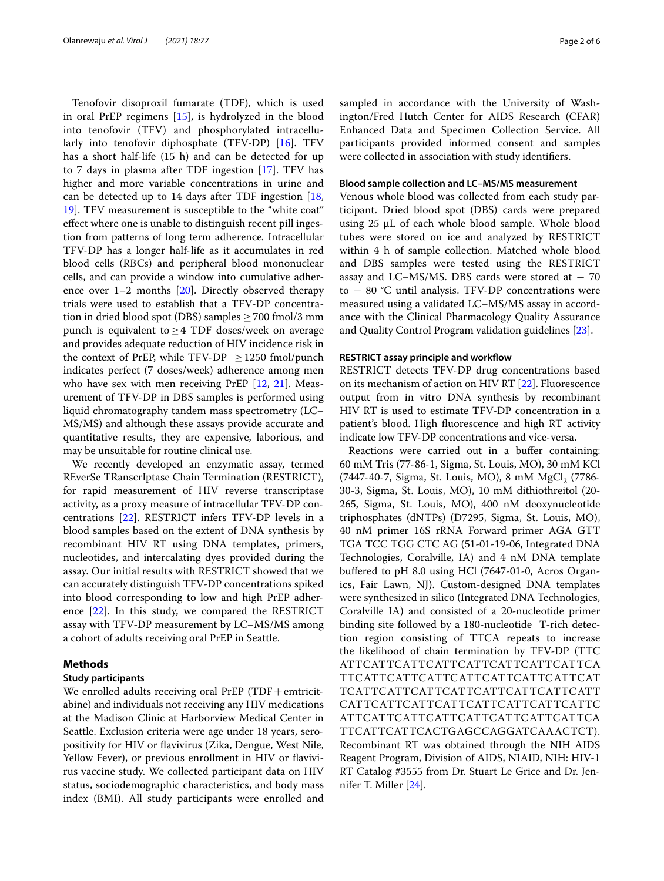Tenofovir disoproxil fumarate (TDF), which is used in oral PrEP regimens [\[15](#page-5-11)], is hydrolyzed in the blood into tenofovir (TFV) and phosphorylated intracellularly into tenofovir diphosphate (TFV-DP) [[16\]](#page-5-12). TFV has a short half-life (15 h) and can be detected for up to 7 days in plasma after TDF ingestion [[17\]](#page-5-13). TFV has higher and more variable concentrations in urine and can be detected up to 14 days after TDF ingestion [\[18](#page-5-14), [19\]](#page-5-15). TFV measurement is susceptible to the "white coat" efect where one is unable to distinguish recent pill ingestion from patterns of long term adherence*.* Intracellular TFV-DP has a longer half-life as it accumulates in red blood cells (RBCs) and peripheral blood mononuclear cells, and can provide a window into cumulative adherence over 1–2 months [\[20\]](#page-5-16). Directly observed therapy trials were used to establish that a TFV-DP concentration in dried blood spot (DBS) samples  $\geq$  700 fmol/3 mm punch is equivalent to≥4 TDF doses/week on average and provides adequate reduction of HIV incidence risk in the context of PrEP, while TFV-DP  $\geq$  1250 fmol/punch indicates perfect (7 doses/week) adherence among men who have sex with men receiving PrEP [[12,](#page-5-9) [21\]](#page-5-17). Measurement of TFV-DP in DBS samples is performed using liquid chromatography tandem mass spectrometry (LC– MS/MS) and although these assays provide accurate and quantitative results, they are expensive, laborious, and may be unsuitable for routine clinical use.

We recently developed an enzymatic assay, termed REverSe TRanscrIptase Chain Termination (RESTRICT), for rapid measurement of HIV reverse transcriptase activity, as a proxy measure of intracellular TFV-DP concentrations [\[22\]](#page-5-18). RESTRICT infers TFV-DP levels in a blood samples based on the extent of DNA synthesis by recombinant HIV RT using DNA templates, primers, nucleotides, and intercalating dyes provided during the assay. Our initial results with RESTRICT showed that we can accurately distinguish TFV-DP concentrations spiked into blood corresponding to low and high PrEP adherence [\[22](#page-5-18)]. In this study, we compared the RESTRICT assay with TFV-DP measurement by LC–MS/MS among a cohort of adults receiving oral PrEP in Seattle.

# **Methods**

# **Study participants**

We enrolled adults receiving oral PrEP (TDF+emtricitabine) and individuals not receiving any HIV medications at the Madison Clinic at Harborview Medical Center in Seattle. Exclusion criteria were age under 18 years, seropositivity for HIV or favivirus (Zika, Dengue, West Nile, Yellow Fever), or previous enrollment in HIV or flavivirus vaccine study. We collected participant data on HIV status, sociodemographic characteristics, and body mass index (BMI). All study participants were enrolled and sampled in accordance with the University of Washington/Fred Hutch Center for AIDS Research (CFAR) Enhanced Data and Specimen Collection Service. All participants provided informed consent and samples were collected in association with study identifers.

#### **Blood sample collection and LC–MS/MS measurement**

Venous whole blood was collected from each study participant. Dried blood spot (DBS) cards were prepared using 25 µL of each whole blood sample. Whole blood tubes were stored on ice and analyzed by RESTRICT within 4 h of sample collection. Matched whole blood and DBS samples were tested using the RESTRICT assay and LC–MS/MS. DBS cards were stored at  $-70$ to − 80 °C until analysis. TFV-DP concentrations were measured using a validated LC–MS/MS assay in accordance with the Clinical Pharmacology Quality Assurance and Quality Control Program validation guidelines [[23\]](#page-5-19).

### **RESTRICT assay principle and workfow**

RESTRICT detects TFV-DP drug concentrations based on its mechanism of action on HIV RT [[22\]](#page-5-18). Fluorescence output from in vitro DNA synthesis by recombinant HIV RT is used to estimate TFV-DP concentration in a patient's blood. High fuorescence and high RT activity indicate low TFV-DP concentrations and vice-versa.

Reactions were carried out in a bufer containing: 60 mM Tris (77-86-1, Sigma, St. Louis, MO), 30 mM KCl (7447-40-7, Sigma, St. Louis, MO), 8 mM MgCl<sub>2</sub> (7786-30-3, Sigma, St. Louis, MO), 10 mM dithiothreitol (20- 265, Sigma, St. Louis, MO), 400 nM deoxynucleotide triphosphates (dNTPs) (D7295, Sigma, St. Louis, MO), 40 nM primer 16S rRNA Forward primer AGA GTT TGA TCC TGG CTC AG (51-01-19-06, Integrated DNA Technologies, Coralville, IA) and 4 nM DNA template bufered to pH 8.0 using HCl (7647-01-0, Acros Organics, Fair Lawn, NJ). Custom-designed DNA templates were synthesized in silico (Integrated DNA Technologies, Coralville IA) and consisted of a 20-nucleotide primer binding site followed by a 180-nucleotide T-rich detection region consisting of TTCA repeats to increase the likelihood of chain termination by TFV-DP (TTC ATTCATTCATTCATTCATTCATTCATTCATTCA TTCATTCATTCATTCATTCATTCATTCATTCAT TCATTCATTCATTCATTCATTCATTCATTCATT CATTCATTCATTCATTCATTCATTCATTCATTC ATTCATTCATTCATTCATTCATTCATTCATTCA TTCATTCATTCACTGAGCCAGGATCAAACTCT). Recombinant RT was obtained through the NIH AIDS Reagent Program, Division of AIDS, NIAID, NIH: HIV-1 RT Catalog #3555 from Dr. Stuart Le Grice and Dr. Jennifer T. Miller [\[24\]](#page-5-20).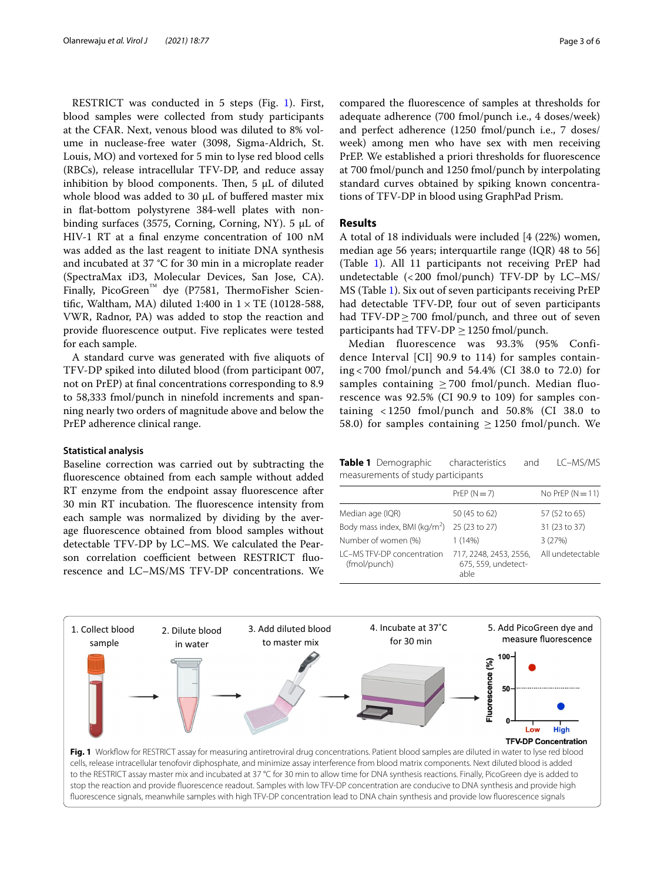RESTRICT was conducted in 5 steps (Fig. [1\)](#page-2-0). First, blood samples were collected from study participants at the CFAR. Next, venous blood was diluted to 8% volume in nuclease-free water (3098, Sigma-Aldrich, St. Louis, MO) and vortexed for 5 min to lyse red blood cells (RBCs), release intracellular TFV-DP, and reduce assay inhibition by blood components. Then,  $5 \mu L$  of diluted whole blood was added to 30  $\mu$ L of buffered master mix in fat-bottom polystyrene 384-well plates with nonbinding surfaces (3575, Corning, Corning, NY). 5 µL of HIV-1 RT at a fnal enzyme concentration of 100 nM was added as the last reagent to initiate DNA synthesis and incubated at 37 °C for 30 min in a microplate reader (SpectraMax iD3, Molecular Devices, San Jose, CA). Finally, PicoGreen<sup>™</sup> dye (P7581, ThermoFisher Scientific, Waltham, MA) diluted 1:400 in  $1 \times TE$  (10128-588, VWR, Radnor, PA) was added to stop the reaction and provide fuorescence output. Five replicates were tested for each sample.

A standard curve was generated with fve aliquots of TFV-DP spiked into diluted blood (from participant 007, not on PrEP) at fnal concentrations corresponding to 8.9 to 58,333 fmol/punch in ninefold increments and spanning nearly two orders of magnitude above and below the PrEP adherence clinical range.

## **Statistical analysis**

Baseline correction was carried out by subtracting the fuorescence obtained from each sample without added RT enzyme from the endpoint assay fuorescence after 30 min RT incubation. The fluorescence intensity from each sample was normalized by dividing by the average fuorescence obtained from blood samples without detectable TFV-DP by LC–MS. We calculated the Pearson correlation coefficient between RESTRICT fluorescence and LC–MS/MS TFV-DP concentrations. We

compared the fuorescence of samples at thresholds for adequate adherence (700 fmol/punch i.e., 4 doses/week) and perfect adherence (1250 fmol/punch i.e., 7 doses/ week) among men who have sex with men receiving PrEP. We established a priori thresholds for fuorescence at 700 fmol/punch and 1250 fmol/punch by interpolating standard curves obtained by spiking known concentrations of TFV-DP in blood using GraphPad Prism.

# **Results**

A total of 18 individuals were included [4 (22%) women, median age 56 years; interquartile range (IQR) 48 to 56] (Table [1](#page-2-1)). All 11 participants not receiving PrEP had undetectable  $\left($  < 200 fmol/punch) TFV-DP by LC–MS/ MS (Table [1\)](#page-2-1). Six out of seven participants receiving PrEP had detectable TFV-DP, four out of seven participants had  $TFV-DP \ge 700$  fmol/punch, and three out of seven participants had TFV-DP  $\geq$  1250 fmol/punch.

Median fluorescence was 93.3% (95% Confidence Interval [CI] 90.9 to 114) for samples containing < 700 fmol/punch and 54.4% (CI 38.0 to 72.0) for samples containing  $>700$  fmol/punch. Median fluorescence was 92.5% (CI 90.9 to 109) for samples containing < 1250 fmol/punch and 50.8% (CI 38.0 to 58.0) for samples containing  $\geq$  1250 fmol/punch. We

<span id="page-2-1"></span>**Table 1** Demographic characteristics and LC–MS/MS measurements of study participants

|                                             | $PrEP (N = 7)$                                        | No PrEP $(N = 11)$ |
|---------------------------------------------|-------------------------------------------------------|--------------------|
| Median age (IQR)                            | 50 (45 to 62)                                         | 57 (52 to 65)      |
| Body mass index, BMI (kg/m <sup>2</sup> )   | 25 (23 to 27)                                         | 31 (23 to 37)      |
| Number of women (%)                         | 1(14%)                                                | 3(27%)             |
| I C-MS TFV-DP concentration<br>(fmol/punch) | 717, 2248, 2453, 2556,<br>675, 559, undetect-<br>able | All undetectable   |

<span id="page-2-0"></span>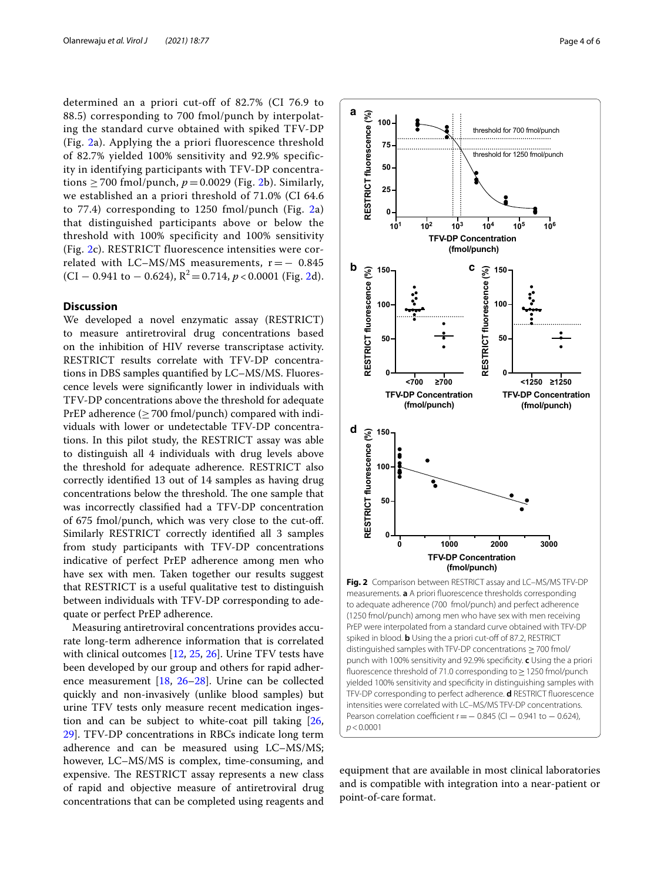determined an a priori cut-off of 82.7% (CI 76.9 to 88.5) corresponding to 700 fmol/punch by interpolating the standard curve obtained with spiked TFV-DP (Fig. [2](#page-3-0)a). Applying the a priori fluorescence threshold of 82.7% yielded 100% sensitivity and 92.9% specificity in identifying participants with TFV-DP concentrations  $\geq$  700 fmol/punch,  $p = 0.0029$  (Fig. [2b](#page-3-0)). Similarly, we established an a priori threshold of 71.0% (CI 64.6 to 77.4) corresponding to 1250 fmol/punch (Fig. [2a](#page-3-0)) that distinguished participants above or below the threshold with 100% specificity and 100% sensitivity (Fig. [2c](#page-3-0)). RESTRICT fluorescence intensities were correlated with LC–MS/MS measurements,  $r = -0.845$  $(CI - 0.941$  to  $- 0.624$ ),  $R^2 = 0.714$ ,  $p < 0.0001$  (Fig. [2](#page-3-0)d).

# **Discussion**

We developed a novel enzymatic assay (RESTRICT) to measure antiretroviral drug concentrations based on the inhibition of HIV reverse transcriptase activity. RESTRICT results correlate with TFV-DP concentrations in DBS samples quantifed by LC–MS/MS. Fluorescence levels were signifcantly lower in individuals with TFV-DP concentrations above the threshold for adequate PrEP adherence  $(\geq 700 \text{ fmol/punch})$  compared with individuals with lower or undetectable TFV-DP concentrations. In this pilot study, the RESTRICT assay was able to distinguish all 4 individuals with drug levels above the threshold for adequate adherence. RESTRICT also correctly identifed 13 out of 14 samples as having drug concentrations below the threshold. The one sample that was incorrectly classifed had a TFV-DP concentration of 675 fmol/punch, which was very close to the cut-of. Similarly RESTRICT correctly identifed all 3 samples from study participants with TFV-DP concentrations indicative of perfect PrEP adherence among men who have sex with men. Taken together our results suggest that RESTRICT is a useful qualitative test to distinguish between individuals with TFV-DP corresponding to adequate or perfect PrEP adherence.

Measuring antiretroviral concentrations provides accurate long-term adherence information that is correlated with clinical outcomes [\[12,](#page-5-9) [25,](#page-5-21) [26\]](#page-5-22). Urine TFV tests have been developed by our group and others for rapid adherence measurement [[18,](#page-5-14) [26–](#page-5-22)[28](#page-5-23)]. Urine can be collected quickly and non-invasively (unlike blood samples) but urine TFV tests only measure recent medication ingestion and can be subject to white-coat pill taking [\[26](#page-5-22), [29\]](#page-5-24). TFV-DP concentrations in RBCs indicate long term adherence and can be measured using LC–MS/MS; however, LC–MS/MS is complex, time-consuming, and expensive. The RESTRICT assay represents a new class of rapid and objective measure of antiretroviral drug concentrations that can be completed using reagents and



<span id="page-3-0"></span>punch with 100% sensitivity and 92.9% specifcity. **c** Using the a priori fuorescence threshold of 71.0 corresponding to≥1250 fmol/punch yielded 100% sensitivity and specifcity in distinguishing samples with TFV-DP corresponding to perfect adherence. **d** RESTRICT fuorescence intensities were correlated with LC–MS/MS TFV-DP concentrations. Pearson correlation coefficient r =  $-$  0.845 (CI  $-$  0.941 to  $-$  0.624), *p*<0.0001

equipment that are available in most clinical laboratories and is compatible with integration into a near-patient or point-of-care format.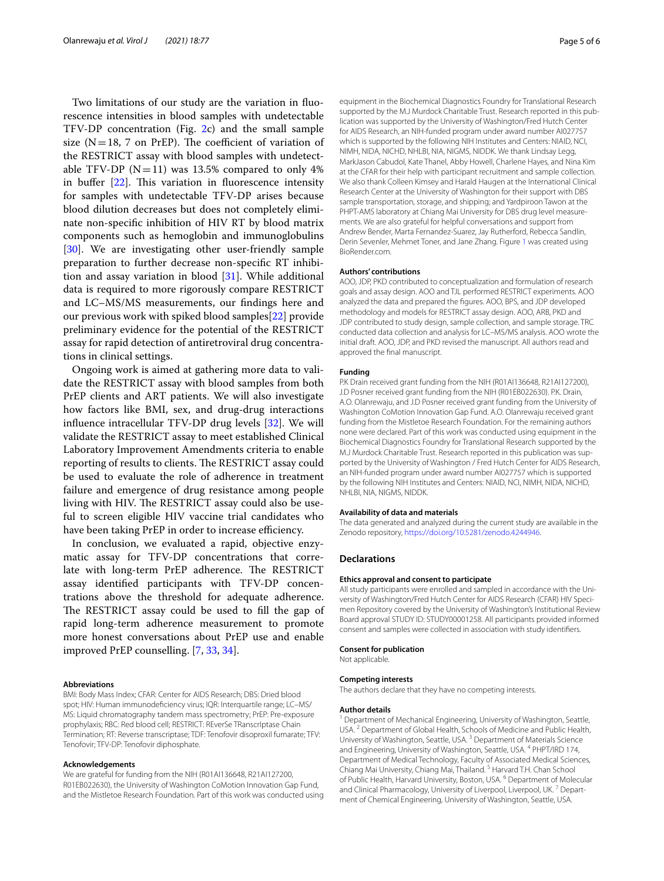Two limitations of our study are the variation in fuorescence intensities in blood samples with undetectable TFV-DP concentration (Fig. [2c](#page-3-0)) and the small sample size ( $N=18$ , 7 on PrEP). The coefficient of variation of the RESTRICT assay with blood samples with undetectable TFV-DP  $(N=11)$  was 13.5% compared to only 4% in buffer  $[22]$  $[22]$ . This variation in fluorescence intensity for samples with undetectable TFV-DP arises because blood dilution decreases but does not completely eliminate non-specifc inhibition of HIV RT by blood matrix components such as hemoglobin and immunoglobulins [[30\]](#page-5-25). We are investigating other user-friendly sample preparation to further decrease non-specifc RT inhibition and assay variation in blood  $[31]$ . While additional data is required to more rigorously compare RESTRICT and LC–MS/MS measurements, our fndings here and our previous work with spiked blood samples[\[22](#page-5-18)] provide preliminary evidence for the potential of the RESTRICT assay for rapid detection of antiretroviral drug concentrations in clinical settings.

Ongoing work is aimed at gathering more data to validate the RESTRICT assay with blood samples from both PrEP clients and ART patients. We will also investigate how factors like BMI, sex, and drug-drug interactions infuence intracellular TFV-DP drug levels [\[32\]](#page-5-27). We will validate the RESTRICT assay to meet established Clinical Laboratory Improvement Amendments criteria to enable reporting of results to clients. The RESTRICT assay could be used to evaluate the role of adherence in treatment failure and emergence of drug resistance among people living with HIV. The RESTRICT assay could also be useful to screen eligible HIV vaccine trial candidates who have been taking PrEP in order to increase efficiency.

In conclusion, we evaluated a rapid, objective enzymatic assay for TFV-DP concentrations that correlate with long-term PrEP adherence. The RESTRICT assay identifed participants with TFV-DP concentrations above the threshold for adequate adherence. The RESTRICT assay could be used to fill the gap of rapid long-term adherence measurement to promote more honest conversations about PrEP use and enable improved PrEP counselling. [[7](#page-5-6), [33,](#page-5-28) [34](#page-5-29)].

#### **Abbreviations**

BMI: Body Mass Index; CFAR: Center for AIDS Research; DBS: Dried blood spot; HIV: Human immunodefciency virus; IQR: Interquartile range; LC–MS/ MS: Liquid chromatography tandem mass spectrometry; PrEP: Pre-exposure prophylaxis; RBC: Red blood cell; RESTRICT: REverSe TRanscrIptase Chain Termination; RT: Reverse transcriptase; TDF: Tenofovir disoproxil fumarate; TFV: Tenofovir; TFV-DP: Tenofovir diphosphate.

#### **Acknowledgements**

We are grateful for funding from the NIH (R01AI136648, R21AI127200, R01EB022630), the University of Washington CoMotion Innovation Gap Fund, and the Mistletoe Research Foundation. Part of this work was conducted using

equipment in the Biochemical Diagnostics Foundry for Translational Research supported by the M.J Murdock Charitable Trust. Research reported in this publication was supported by the University of Washington/Fred Hutch Center for AIDS Research, an NIH-funded program under award number AI027757 which is supported by the following NIH Institutes and Centers: NIAID, NCI, NIMH, NIDA, NICHD, NHLBI, NIA, NIGMS, NIDDK. We thank Lindsay Legg, MarkJason Cabudol, Kate Thanel, Abby Howell, Charlene Hayes, and Nina Kim at the CFAR for their help with participant recruitment and sample collection. We also thank Colleen Kimsey and Harald Haugen at the International Clinical Research Center at the University of Washington for their support with DBS sample transportation, storage, and shipping; and Yardpiroon Tawon at the PHPT-AMS laboratory at Chiang Mai University for DBS drug level measurements. We are also grateful for helpful conversations and support from Andrew Bender, Marta Fernandez-Suarez, Jay Rutherford, Rebecca Sandlin, Derin Sevenler, Mehmet Toner, and Jane Zhang. Figure [1](#page-2-0) was created using BioRender.com.

#### **Authors' contributions**

AOO, JDP, PKD contributed to conceptualization and formulation of research goals and assay design. AOO and TJL performed RESTRICT experiments. AOO analyzed the data and prepared the fgures. AOO, BPS, and JDP developed methodology and models for RESTRICT assay design. AOO, ARB, PKD and JDP contributed to study design, sample collection, and sample storage. TRC conducted data collection and analysis for LC–MS/MS analysis. AOO wrote the initial draft. AOO, JDP, and PKD revised the manuscript. All authors read and approved the fnal manuscript.

#### **Funding**

P.K Drain received grant funding from the NIH (R01AI136648, R21AI127200), J.D Posner received grant funding from the NIH (R01EB022630). P.K. Drain, A.O. Olanrewaju, and J.D Posner received grant funding from the University of Washington CoMotion Innovation Gap Fund. A.O. Olanrewaju received grant funding from the Mistletoe Research Foundation. For the remaining authors none were declared. Part of this work was conducted using equipment in the Biochemical Diagnostics Foundry for Translational Research supported by the M.J Murdock Charitable Trust. Research reported in this publication was supported by the University of Washington / Fred Hutch Center for AIDS Research, an NIH-funded program under award number AI027757 which is supported by the following NIH Institutes and Centers: NIAID, NCI, NIMH, NIDA, NICHD, NHLBI, NIA, NIGMS, NIDDK.

#### **Availability of data and materials**

The data generated and analyzed during the current study are available in the Zenodo repository, <https://doi.org/10.5281/zenodo.4244946>.

#### **Declarations**

## **Ethics approval and consent to participate**

All study participants were enrolled and sampled in accordance with the University of Washington/Fred Hutch Center for AIDS Research (CFAR) HIV Specimen Repository covered by the University of Washington's Institutional Review Board approval STUDY ID: STUDY00001258. All participants provided informed consent and samples were collected in association with study identifers.

#### **Consent for publication**

Not applicable.

#### **Competing interests**

The authors declare that they have no competing interests.

#### **Author details**

<sup>1</sup> Department of Mechanical Engineering, University of Washington, Seattle, USA. 2 Department of Global Health, Schools of Medicine and Public Health, University of Washington, Seattle, USA. <sup>3</sup> Department of Materials Science and Engineering, University of Washington, Seattle, USA. 4 PHPT/IRD 174, Department of Medical Technology, Faculty of Associated Medical Sciences, Chiang Mai University, Chiang Mai, Thailand. 5 Harvard T.H. Chan School of Public Health, Harvard University, Boston, USA. <sup>6</sup> Department of Molecular and Clinical Pharmacology, University of Liverpool, Liverpool, UK.<sup>7</sup> Department of Chemical Engineering, University of Washington, Seattle, USA.